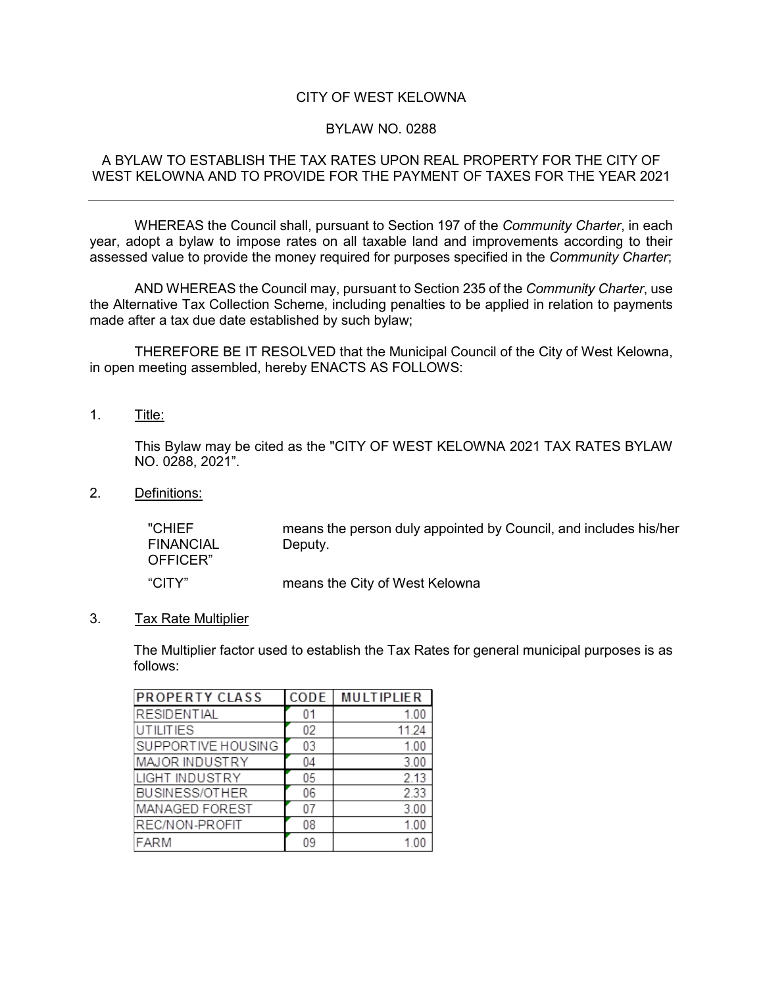# CITY OF WEST KELOWNA

### BYLAW NO. 0288

### A BYLAW TO ESTABLISH THE TAX RATES UPON REAL PROPERTY FOR THE CITY OF WEST KELOWNA AND TO PROVIDE FOR THE PAYMENT OF TAXES FOR THE YEAR 2021

WHEREAS the Council shall, pursuant to Section 197 of the *Community Charter*, in each year, adopt a bylaw to impose rates on all taxable land and improvements according to their assessed value to provide the money required for purposes specified in the *Community Charter*;

AND WHEREAS the Council may, pursuant to Section 235 of the *Community Charter*, use the Alternative Tax Collection Scheme, including penalties to be applied in relation to payments made after a tax due date established by such bylaw;

THEREFORE BE IT RESOLVED that the Municipal Council of the City of West Kelowna, in open meeting assembled, hereby ENACTS AS FOLLOWS:

1. Title:

This Bylaw may be cited as the "CITY OF WEST KELOWNA 2021 TAX RATES BYLAW NO. 0288, 2021".

2. Definitions:

"CHIEF FINANCIAL OFFICER" means the person duly appointed by Council, and includes his/her Deputy. "CITY" means the City of West Kelowna

3. Tax Rate Multiplier

The Multiplier factor used to establish the Tax Rates for general municipal purposes is as follows:

| <b>PROPERTY CLASS</b> | CODE | <b>MULTIPLIER</b> |
|-----------------------|------|-------------------|
| <b>RESIDENTIAL</b>    | 01   | 1.00              |
| <b>UTILITIES</b>      | 02   | 11.24             |
| SUPPORTIVE HOUSING    | 03   | 1.00              |
| MAJOR INDUSTRY        | 04   | 3.00              |
| <b>LIGHT INDUSTRY</b> | 05   | 2.13              |
| <b>BUSINESS/OTHER</b> | 06   | 2.33              |
| MANAGED FOREST        | 07   | 3.00              |
| REC/NON-PROFIT        | 08   | 1.00              |
| FARM                  | 09   | (0)               |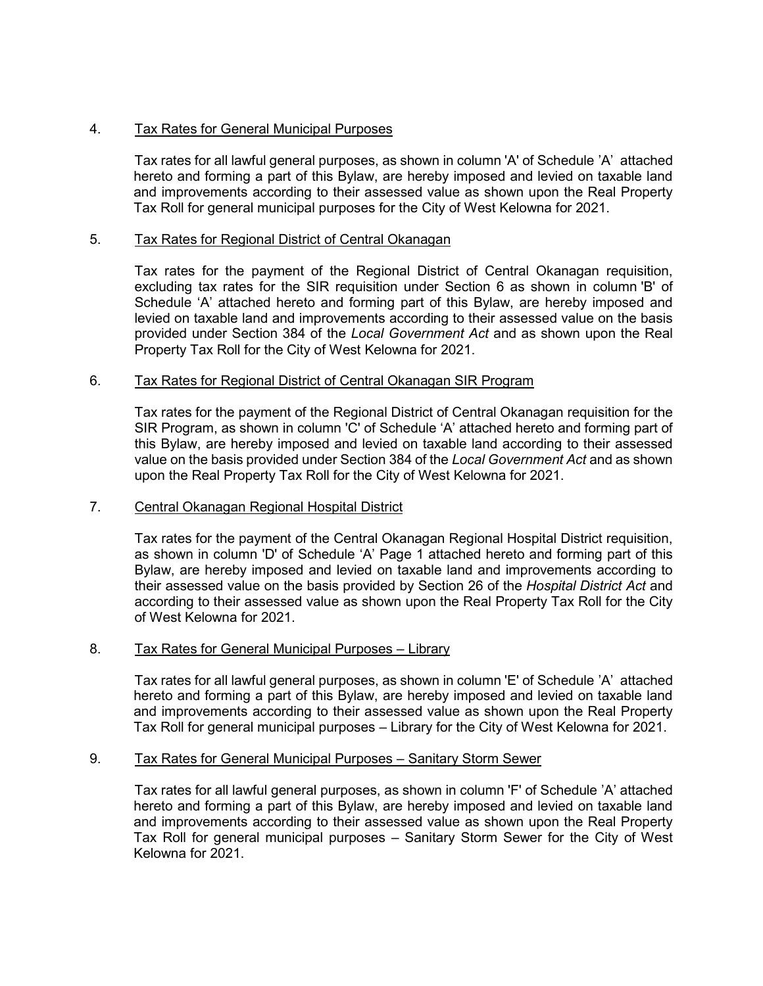# 4. Tax Rates for General Municipal Purposes

Tax rates for all lawful general purposes, as shown in column 'A' of Schedule 'A' attached hereto and forming a part of this Bylaw, are hereby imposed and levied on taxable land and improvements according to their assessed value as shown upon the Real Property Tax Roll for general municipal purposes for the City of West Kelowna for 2021.

# 5. Tax Rates for Regional District of Central Okanagan

Tax rates for the payment of the Regional District of Central Okanagan requisition, excluding tax rates for the SIR requisition under Section 6 as shown in column 'B' of Schedule 'A' attached hereto and forming part of this Bylaw, are hereby imposed and levied on taxable land and improvements according to their assessed value on the basis provided under Section 384 of the *Local Government Act* and as shown upon the Real Property Tax Roll for the City of West Kelowna for 2021.

### 6. Tax Rates for Regional District of Central Okanagan SIR Program

Tax rates for the payment of the Regional District of Central Okanagan requisition for the SIR Program, as shown in column 'C' of Schedule 'A' attached hereto and forming part of this Bylaw, are hereby imposed and levied on taxable land according to their assessed value on the basis provided under Section 384 of the *Local Government Act* and as shown upon the Real Property Tax Roll for the City of West Kelowna for 2021.

### 7. Central Okanagan Regional Hospital District

Tax rates for the payment of the Central Okanagan Regional Hospital District requisition, as shown in column 'D' of Schedule 'A' Page 1 attached hereto and forming part of this Bylaw, are hereby imposed and levied on taxable land and improvements according to their assessed value on the basis provided by Section 26 of the *Hospital District Act* and according to their assessed value as shown upon the Real Property Tax Roll for the City of West Kelowna for 2021.

#### 8. Tax Rates for General Municipal Purposes – Library

Tax rates for all lawful general purposes, as shown in column 'E' of Schedule 'A' attached hereto and forming a part of this Bylaw, are hereby imposed and levied on taxable land and improvements according to their assessed value as shown upon the Real Property Tax Roll for general municipal purposes – Library for the City of West Kelowna for 2021.

#### 9. Tax Rates for General Municipal Purposes – Sanitary Storm Sewer

Tax rates for all lawful general purposes, as shown in column 'F' of Schedule 'A' attached hereto and forming a part of this Bylaw, are hereby imposed and levied on taxable land and improvements according to their assessed value as shown upon the Real Property Tax Roll for general municipal purposes – Sanitary Storm Sewer for the City of West Kelowna for 2021.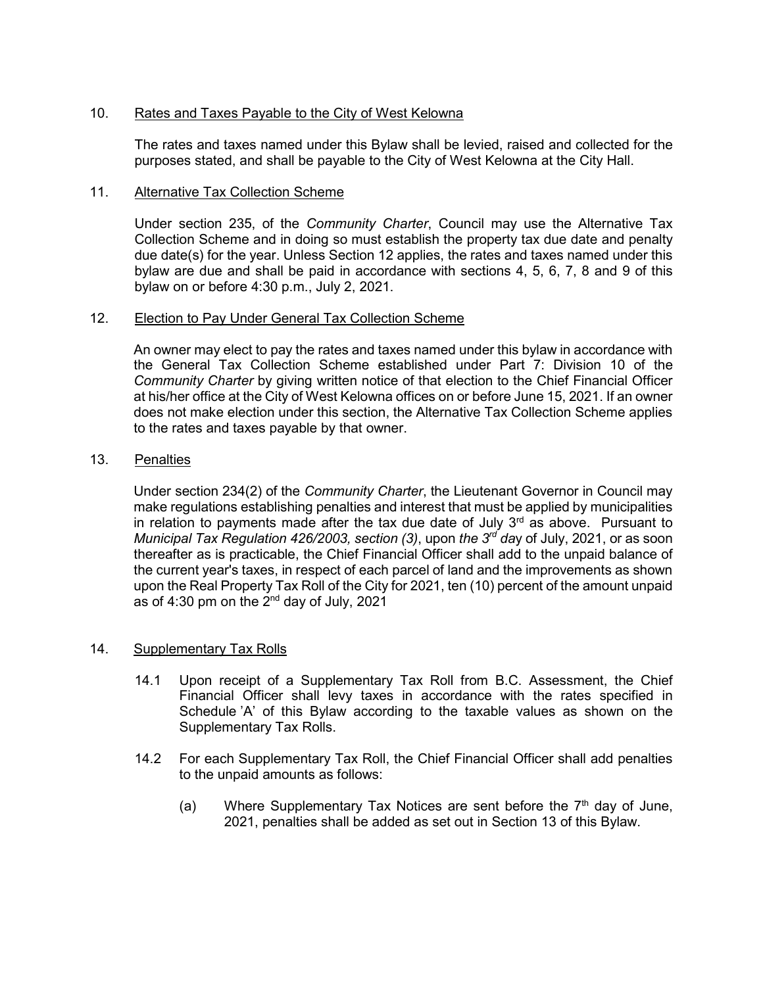# 10. Rates and Taxes Payable to the City of West Kelowna

The rates and taxes named under this Bylaw shall be levied, raised and collected for the purposes stated, and shall be payable to the City of West Kelowna at the City Hall.

#### 11. Alternative Tax Collection Scheme

Under section 235, of the *Community Charter*, Council may use the Alternative Tax Collection Scheme and in doing so must establish the property tax due date and penalty due date(s) for the year. Unless Section 12 applies, the rates and taxes named under this bylaw are due and shall be paid in accordance with sections 4, 5, 6, 7, 8 and 9 of this bylaw on or before 4:30 p.m., July 2, 2021.

#### 12. Election to Pay Under General Tax Collection Scheme

An owner may elect to pay the rates and taxes named under this bylaw in accordance with the General Tax Collection Scheme established under Part 7: Division 10 of the *Community Charter* by giving written notice of that election to the Chief Financial Officer at his/her office at the City of West Kelowna offices on or before June 15, 2021. If an owner does not make election under this section, the Alternative Tax Collection Scheme applies to the rates and taxes payable by that owner.

# 13. Penalties

Under section 234(2) of the *Community Charter*, the Lieutenant Governor in Council may make regulations establishing penalties and interest that must be applied by municipalities in relation to payments made after the tax due date of July  $3<sup>rd</sup>$  as above. Pursuant to *Municipal Tax Regulation 426/2003, section (3), upon <i>the 3<sup>rd</sup> day* of July, 2021, or as soon thereafter as is practicable, the Chief Financial Officer shall add to the unpaid balance of the current year's taxes, in respect of each parcel of land and the improvements as shown upon the Real Property Tax Roll of the City for 2021, ten (10) percent of the amount unpaid as of 4:30 pm on the  $2<sup>nd</sup>$  day of July, 2021

#### 14. Supplementary Tax Rolls

- 14.1 Upon receipt of a Supplementary Tax Roll from B.C. Assessment, the Chief Financial Officer shall levy taxes in accordance with the rates specified in Schedule 'A' of this Bylaw according to the taxable values as shown on the Supplementary Tax Rolls.
- 14.2 For each Supplementary Tax Roll, the Chief Financial Officer shall add penalties to the unpaid amounts as follows:
	- (a) Where Supplementary Tax Notices are sent before the  $7<sup>th</sup>$  day of June, 2021, penalties shall be added as set out in Section 13 of this Bylaw.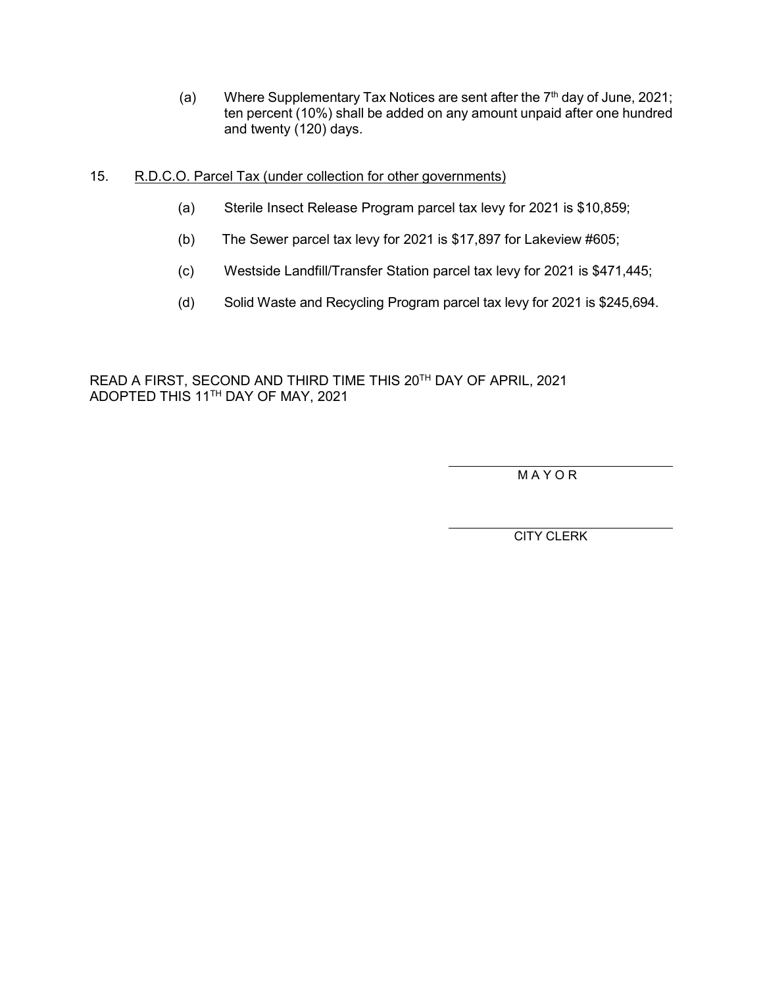- (a) Where Supplementary Tax Notices are sent after the  $7<sup>th</sup>$  day of June, 2021; ten percent (10%) shall be added on any amount unpaid after one hundred and twenty (120) days.
- 15. R.D.C.O. Parcel Tax (under collection for other governments)
	- (a) Sterile Insect Release Program parcel tax levy for 2021 is \$10,859;
	- (b) The Sewer parcel tax levy for 2021 is \$17,897 for Lakeview #605;
	- (c) Westside Landfill/Transfer Station parcel tax levy for 2021 is \$471,445;
	- (d) Solid Waste and Recycling Program parcel tax levy for 2021 is \$245,694.

READ A FIRST, SECOND AND THIRD TIME THIS 20TH DAY OF APRIL, 2021 ADOPTED THIS 11TH DAY OF MAY, 2021

M A Y O R

CITY CLERK